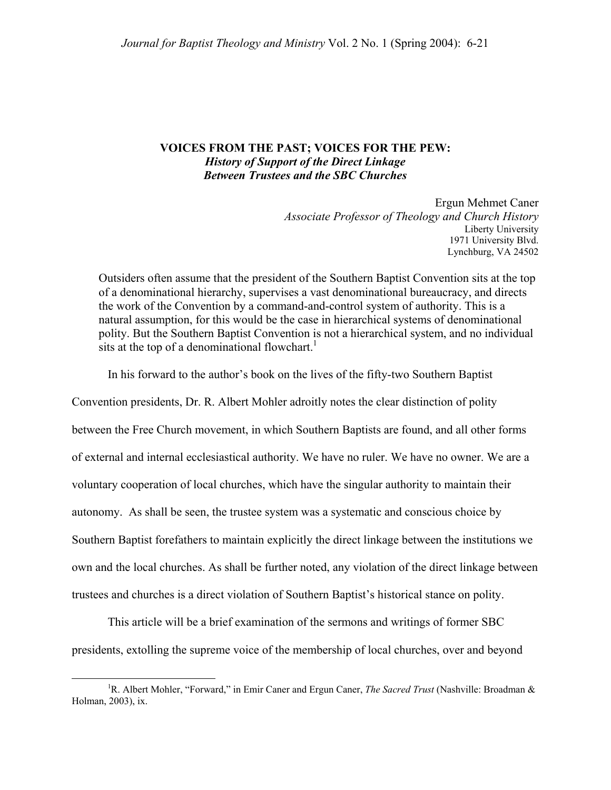## **VOICES FROM THE PAST; VOICES FOR THE PEW:**  *History of Support of the Direct Linkage Between Trustees and the SBC Churches*

Ergun Mehmet Caner *Associate Professor of Theology and Church History*  Liberty University 1971 University Blvd. Lynchburg, VA 24502

Outsiders often assume that the president of the Southern Baptist Convention sits at the top of a denominational hierarchy, supervises a vast denominational bureaucracy, and directs the work of the Convention by a command-and-control system of authority. This is a natural assumption, for this would be the case in hierarchical systems of denominational polity. But the Southern Baptist Convention is not a hierarchical system, and no individual sits at the top of a denominational flowchart.<sup>[1](#page-0-0)</sup>

In his forward to the author's book on the lives of the fifty-two Southern Baptist

Convention presidents, Dr. R. Albert Mohler adroitly notes the clear distinction of polity between the Free Church movement, in which Southern Baptists are found, and all other forms of external and internal ecclesiastical authority. We have no ruler. We have no owner. We are a voluntary cooperation of local churches, which have the singular authority to maintain their autonomy. As shall be seen, the trustee system was a systematic and conscious choice by Southern Baptist forefathers to maintain explicitly the direct linkage between the institutions we own and the local churches. As shall be further noted, any violation of the direct linkage between trustees and churches is a direct violation of Southern Baptist's historical stance on polity.

This article will be a brief examination of the sermons and writings of former SBC presidents, extolling the supreme voice of the membership of local churches, over and beyond

<span id="page-0-0"></span> $\begin{array}{c|c}\n\hline\n\end{array}$ <sup>1</sup>R. Albert Mohler, "Forward," in Emir Caner and Ergun Caner, *The Sacred Trust* (Nashville: Broadman & Holman, 2003), ix.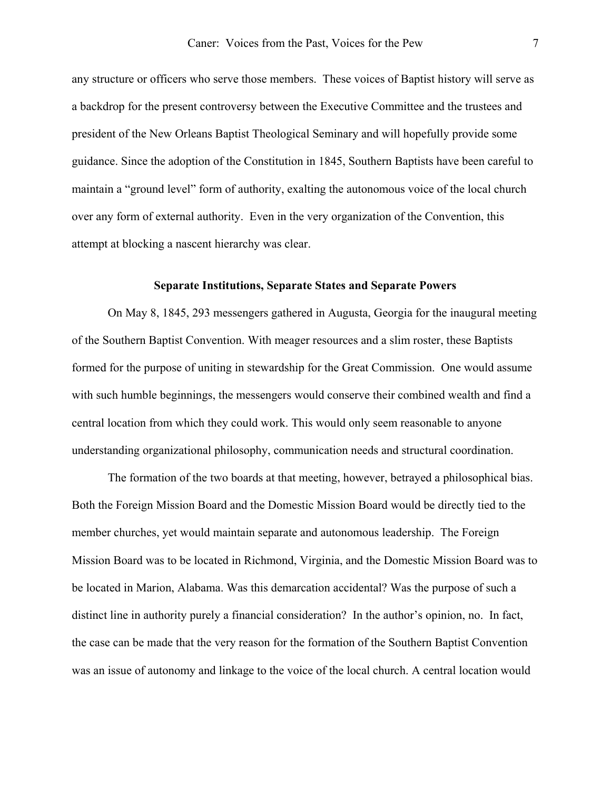any structure or officers who serve those members. These voices of Baptist history will serve as a backdrop for the present controversy between the Executive Committee and the trustees and president of the New Orleans Baptist Theological Seminary and will hopefully provide some guidance. Since the adoption of the Constitution in 1845, Southern Baptists have been careful to maintain a "ground level" form of authority, exalting the autonomous voice of the local church over any form of external authority. Even in the very organization of the Convention, this attempt at blocking a nascent hierarchy was clear.

#### **Separate Institutions, Separate States and Separate Powers**

 On May 8, 1845, 293 messengers gathered in Augusta, Georgia for the inaugural meeting of the Southern Baptist Convention. With meager resources and a slim roster, these Baptists formed for the purpose of uniting in stewardship for the Great Commission. One would assume with such humble beginnings, the messengers would conserve their combined wealth and find a central location from which they could work. This would only seem reasonable to anyone understanding organizational philosophy, communication needs and structural coordination.

 The formation of the two boards at that meeting, however, betrayed a philosophical bias. Both the Foreign Mission Board and the Domestic Mission Board would be directly tied to the member churches, yet would maintain separate and autonomous leadership. The Foreign Mission Board was to be located in Richmond, Virginia, and the Domestic Mission Board was to be located in Marion, Alabama. Was this demarcation accidental? Was the purpose of such a distinct line in authority purely a financial consideration? In the author's opinion, no. In fact, the case can be made that the very reason for the formation of the Southern Baptist Convention was an issue of autonomy and linkage to the voice of the local church. A central location would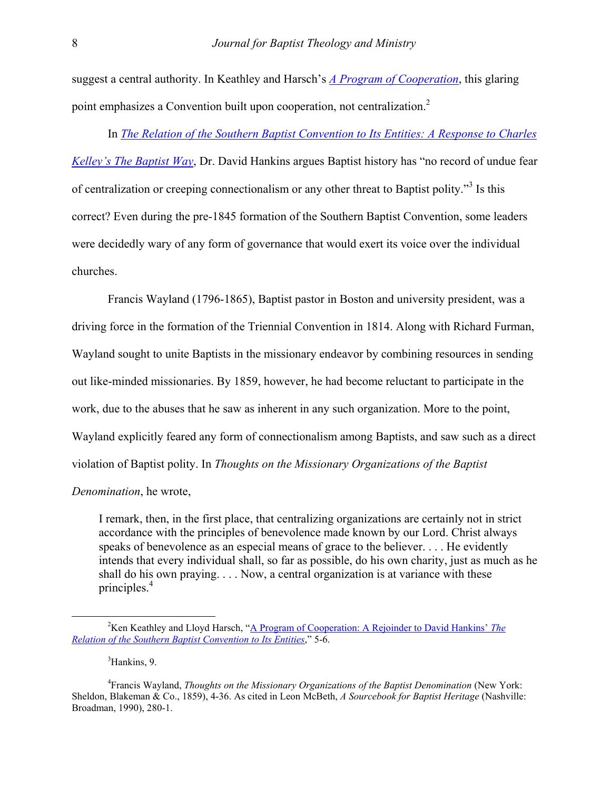suggest a central authority. In Keathley and Harsch's *[A Program of Cooperation](http://www.baptistcenter.com/Papers, etc/Articles and Essays/Keathley and Harsch - Program of Cooperation--Rejoinder to David Hankins)*, this glaring point emphasizes a Convention built upon cooperation, not centralization.<sup>2</sup>

In *[The Relation of the Southern Baptist Convention to Its Entities: A Response to Charles](http://www.baptist2baptist.net/b2barticle.asp?ID=275)* 

*[Kelley's The Baptist Way](http://www.baptist2baptist.net/b2barticle.asp?ID=275)*, Dr. David Hankins argues Baptist history has "no record of undue fear of centralization or creeping connectionalism or any other threat to Baptist polity."<sup>[3](#page-2-1)</sup> Is this correct? Even during the pre-1845 formation of the Southern Baptist Convention, some leaders were decidedly wary of any form of governance that would exert its voice over the individual churches.

 Francis Wayland (1796-1865), Baptist pastor in Boston and university president, was a driving force in the formation of the Triennial Convention in 1814. Along with Richard Furman, Wayland sought to unite Baptists in the missionary endeavor by combining resources in sending out like-minded missionaries. By 1859, however, he had become reluctant to participate in the work, due to the abuses that he saw as inherent in any such organization. More to the point, Wayland explicitly feared any form of connectionalism among Baptists, and saw such as a direct violation of Baptist polity. In *Thoughts on the Missionary Organizations of the Baptist* 

*Denomination*, he wrote,

I remark, then, in the first place, that centralizing organizations are certainly not in strict accordance with the principles of benevolence made known by our Lord. Christ always speaks of benevolence as an especial means of grace to the believer. . . . He evidently intends that every individual shall, so far as possible, do his own charity, just as much as he shall do his own praying. . . . Now, a central organization is at variance with these principles.<sup>4</sup>

<span id="page-2-2"></span><span id="page-2-1"></span><span id="page-2-0"></span><sup>3</sup>Hankins, 9.

 $\frac{1}{2}$ <sup>2</sup>Ken Keathley and Lloyd Harsch, "[A Program of Cooperation: A Rejoinder to David Hankins'](http://www.baptistcenter.com/Papers, etc/Articles and Essays/Keathley and Harsch - Program of Cooperation--Rejoinder to David Hankins) *The [Relation of the Southern Baptist Convention to Its Entities](http://www.baptistcenter.com/Papers, etc/Articles and Essays/Keathley and Harsch - Program of Cooperation--Rejoinder to David Hankins)*," 5-6.

<sup>4</sup> Francis Wayland, *Thoughts on the Missionary Organizations of the Baptist Denomination* (New York: Sheldon, Blakeman & Co., 1859), 4-36. As cited in Leon McBeth, *A Sourcebook for Baptist Heritage* (Nashville: Broadman, 1990), 280-1.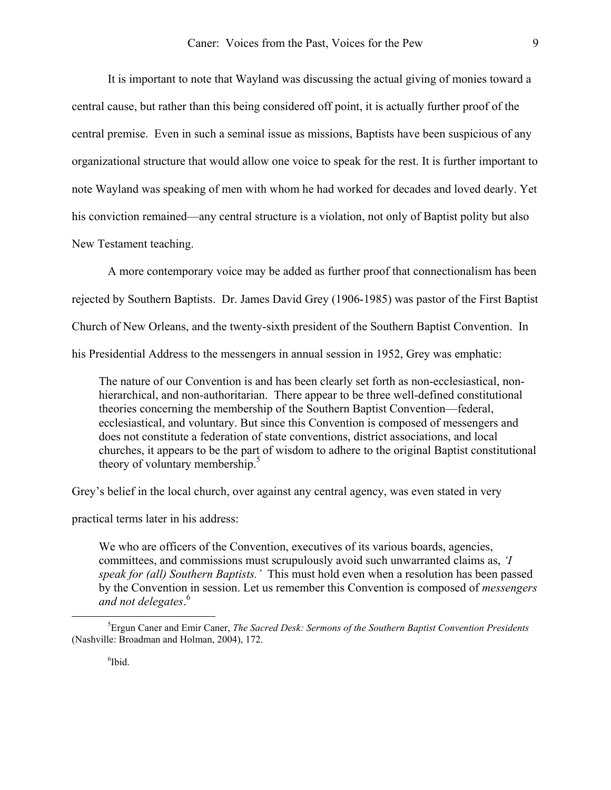It is important to note that Wayland was discussing the actual giving of monies toward a central cause, but rather than this being considered off point, it is actually further proof of the central premise. Even in such a seminal issue as missions, Baptists have been suspicious of any organizational structure that would allow one voice to speak for the rest. It is further important to note Wayland was speaking of men with whom he had worked for decades and loved dearly. Yet his conviction remained—any central structure is a violation, not only of Baptist polity but also New Testament teaching.

 A more contemporary voice may be added as further proof that connectionalism has been rejected by Southern Baptists. Dr. James David Grey (1906-1985) was pastor of the First Baptist Church of New Orleans, and the twenty-sixth president of the Southern Baptist Convention. In his Presidential Address to the messengers in annual session in 1952, Grey was emphatic:

The nature of our Convention is and has been clearly set forth as non-ecclesiastical, nonhierarchical, and non-authoritarian. There appear to be three well-defined constitutional theories concerning the membership of the Southern Baptist Convention—federal, ecclesiastical, and voluntary. But since this Convention is composed of messengers and does not constitute a federation of state conventions, district associations, and local churches, it appears to be the part of wisdom to adhere to the original Baptist constitutional theory of voluntary membership. $5$ 

Grey's belief in the local church, over against any central agency, was even stated in very

practical terms later in his address:

We who are officers of the Convention, executives of its various boards, agencies, committees, and commissions must scrupulously avoid such unwarranted claims as, *'I speak for (all) Southern Baptists.'* This must hold even when a resolution has been passed by the Convention in session. Let us remember this Convention is composed of *messengers and not delegates*. [6](#page-3-1)

<span id="page-3-1"></span><span id="page-3-0"></span>6 Ibid.

 $\frac{1}{5}$ Ergun Caner and Emir Caner, *The Sacred Desk: Sermons of the Southern Baptist Convention Presidents* (Nashville: Broadman and Holman, 2004), 172.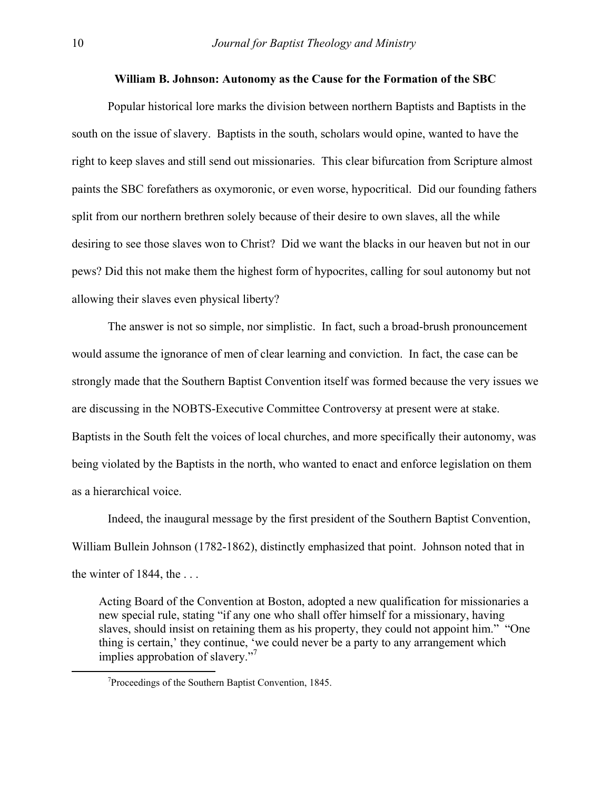#### **William B. Johnson: Autonomy as the Cause for the Formation of the SBC**

 Popular historical lore marks the division between northern Baptists and Baptists in the south on the issue of slavery. Baptists in the south, scholars would opine, wanted to have the right to keep slaves and still send out missionaries. This clear bifurcation from Scripture almost paints the SBC forefathers as oxymoronic, or even worse, hypocritical. Did our founding fathers split from our northern brethren solely because of their desire to own slaves, all the while desiring to see those slaves won to Christ? Did we want the blacks in our heaven but not in our pews? Did this not make them the highest form of hypocrites, calling for soul autonomy but not allowing their slaves even physical liberty?

 The answer is not so simple, nor simplistic. In fact, such a broad-brush pronouncement would assume the ignorance of men of clear learning and conviction. In fact, the case can be strongly made that the Southern Baptist Convention itself was formed because the very issues we are discussing in the NOBTS-Executive Committee Controversy at present were at stake. Baptists in the South felt the voices of local churches, and more specifically their autonomy, was being violated by the Baptists in the north, who wanted to enact and enforce legislation on them as a hierarchical voice.

 Indeed, the inaugural message by the first president of the Southern Baptist Convention, William Bullein Johnson (1782-1862), distinctly emphasized that point. Johnson noted that in the winter of  $1844$ , the ...

Acting Board of the Convention at Boston, adopted a new qualification for missionaries a new special rule, stating "if any one who shall offer himself for a missionary, having slaves, should insist on retaining them as his property, they could not appoint him." "One thing is certain,' they continue, 'we could never be a party to any arrangement which implies approbation of slavery."[7](#page-4-0)

<span id="page-4-0"></span> $\overline{\phantom{a}}$  $7$ Proceedings of the Southern Baptist Convention, 1845.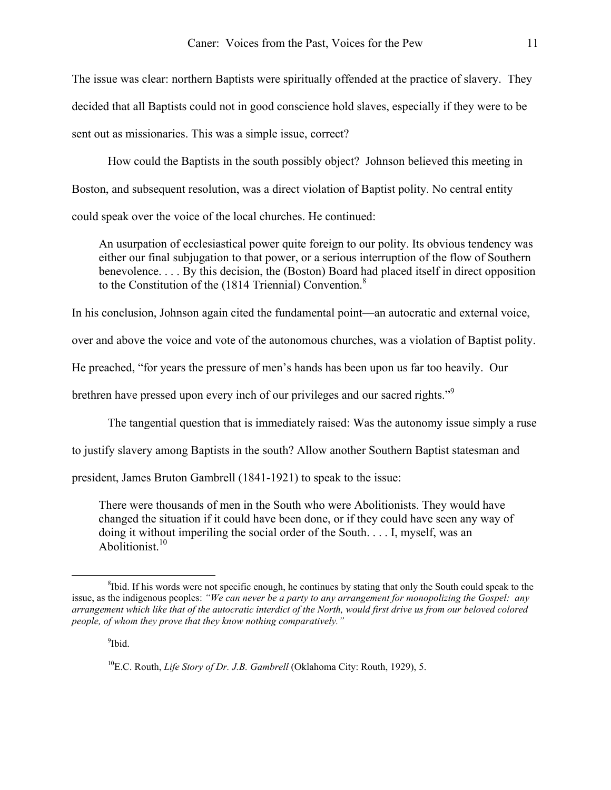The issue was clear: northern Baptists were spiritually offended at the practice of slavery. They decided that all Baptists could not in good conscience hold slaves, especially if they were to be sent out as missionaries. This was a simple issue, correct?

 How could the Baptists in the south possibly object? Johnson believed this meeting in Boston, and subsequent resolution, was a direct violation of Baptist polity. No central entity could speak over the voice of the local churches. He continued:

An usurpation of ecclesiastical power quite foreign to our polity. Its obvious tendency was either our final subjugation to that power, or a serious interruption of the flow of Southern benevolence. . . . By this decision, the (Boston) Board had placed itself in direct opposition to the Constitution of the (1[8](#page-5-0)14 Triennial) Convention.<sup>8</sup>

In his conclusion, Johnson again cited the fundamental point—an autocratic and external voice,

over and above the voice and vote of the autonomous churches, was a violation of Baptist polity.

He preached, "for years the pressure of men's hands has been upon us far too heavily. Our

brethren have pressed upon every inch of our privileges and our sacred rights."[9](#page-5-1)

The tangential question that is immediately raised: Was the autonomy issue simply a ruse

to justify slavery among Baptists in the south? Allow another Southern Baptist statesman and

president, James Bruton Gambrell (1841-1921) to speak to the issue:

There were thousands of men in the South who were Abolitionists. They would have changed the situation if it could have been done, or if they could have seen any way of doing it without imperiling the social order of the South. . . . I, myself, was an Abolitionist<sup>[10](#page-5-2)</sup>

<span id="page-5-1"></span><sup>9</sup>Ibid.

<span id="page-5-0"></span> $\begin{array}{c|c}\n\hline\n\text{1} & \text{2} & \text{3} \\
\hline\n\text{2} & \text{3} & \text{4}\n\end{array}$  ${}^{8}$ Ibid. If his words were not specific enough, he continues by stating that only the South could speak to the issue, as the indigenous peoples: *"We can never be a party to any arrangement for monopolizing the Gospel: any arrangement which like that of the autocratic interdict of the North, would first drive us from our beloved colored people, of whom they prove that they know nothing comparatively."* 

<span id="page-5-2"></span><sup>10</sup>E.C. Routh, *Life Story of Dr. J.B. Gambrell* (Oklahoma City: Routh, 1929), 5.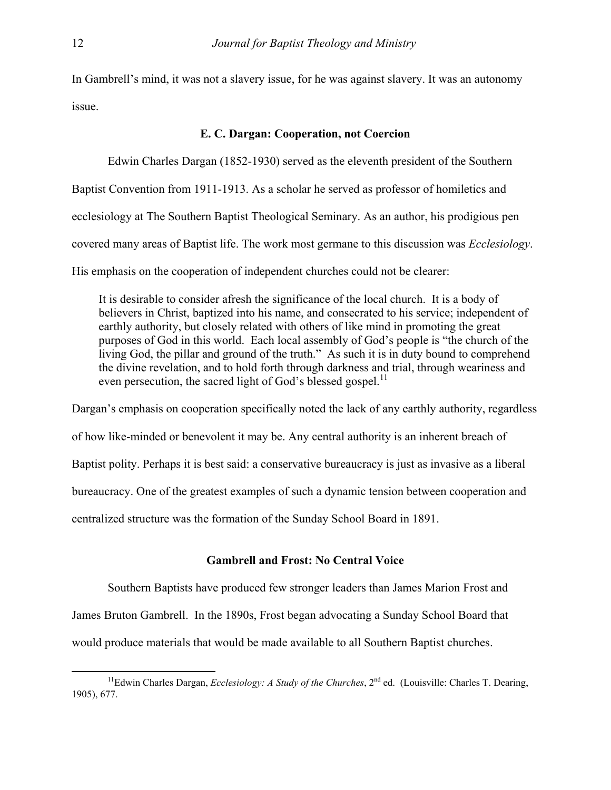In Gambrell's mind, it was not a slavery issue, for he was against slavery. It was an autonomy issue.

# **E. C. Dargan: Cooperation, not Coercion**

Edwin Charles Dargan (1852-1930) served as the eleventh president of the Southern

Baptist Convention from 1911-1913. As a scholar he served as professor of homiletics and

ecclesiology at The Southern Baptist Theological Seminary. As an author, his prodigious pen

covered many areas of Baptist life. The work most germane to this discussion was *Ecclesiology*.

His emphasis on the cooperation of independent churches could not be clearer:

It is desirable to consider afresh the significance of the local church. It is a body of believers in Christ, baptized into his name, and consecrated to his service; independent of earthly authority, but closely related with others of like mind in promoting the great purposes of God in this world. Each local assembly of God's people is "the church of the living God, the pillar and ground of the truth." As such it is in duty bound to comprehend the divine revelation, and to hold forth through darkness and trial, through weariness and even persecution, the sacred light of God's blessed gospel.<sup>[11](#page-6-0)</sup>

Dargan's emphasis on cooperation specifically noted the lack of any earthly authority, regardless of how like-minded or benevolent it may be. Any central authority is an inherent breach of Baptist polity. Perhaps it is best said: a conservative bureaucracy is just as invasive as a liberal bureaucracy. One of the greatest examples of such a dynamic tension between cooperation and centralized structure was the formation of the Sunday School Board in 1891.

### **Gambrell and Frost: No Central Voice**

 Southern Baptists have produced few stronger leaders than James Marion Frost and James Bruton Gambrell. In the 1890s, Frost began advocating a Sunday School Board that would produce materials that would be made available to all Southern Baptist churches.

<span id="page-6-0"></span><sup>&</sup>lt;sup>11</sup>Edwin Charles Dargan, *Ecclesiology: A Study of the Churches*, 2<sup>nd</sup> ed. (Louisville: Charles T. Dearing, 1905), 677.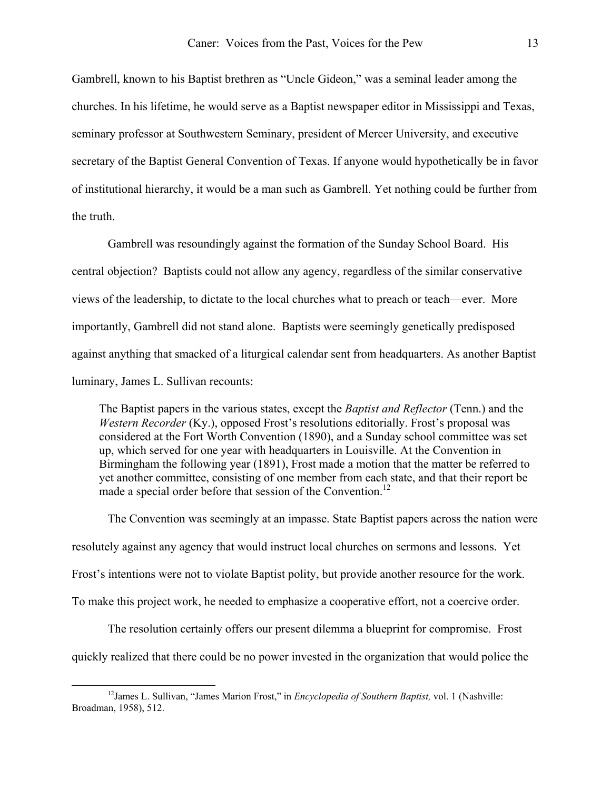Gambrell, known to his Baptist brethren as "Uncle Gideon," was a seminal leader among the churches. In his lifetime, he would serve as a Baptist newspaper editor in Mississippi and Texas, seminary professor at Southwestern Seminary, president of Mercer University, and executive secretary of the Baptist General Convention of Texas. If anyone would hypothetically be in favor of institutional hierarchy, it would be a man such as Gambrell. Yet nothing could be further from the truth.

 Gambrell was resoundingly against the formation of the Sunday School Board. His central objection? Baptists could not allow any agency, regardless of the similar conservative views of the leadership, to dictate to the local churches what to preach or teach—ever. More importantly, Gambrell did not stand alone. Baptists were seemingly genetically predisposed against anything that smacked of a liturgical calendar sent from headquarters. As another Baptist luminary, James L. Sullivan recounts:

The Baptist papers in the various states, except the *Baptist and Reflector* (Tenn.) and the *Western Recorder* (Ky.), opposed Frost's resolutions editorially. Frost's proposal was considered at the Fort Worth Convention (1890), and a Sunday school committee was set up, which served for one year with headquarters in Louisville. At the Convention in Birmingham the following year (1891), Frost made a motion that the matter be referred to yet another committee, consisting of one member from each state, and that their report be made a special order before that session of the Convention.<sup>12</sup>

 The Convention was seemingly at an impasse. State Baptist papers across the nation were resolutely against any agency that would instruct local churches on sermons and lessons. Yet Frost's intentions were not to violate Baptist polity, but provide another resource for the work. To make this project work, he needed to emphasize a cooperative effort, not a coercive order.

 The resolution certainly offers our present dilemma a blueprint for compromise. Frost quickly realized that there could be no power invested in the organization that would police the

<span id="page-7-0"></span>12James L. Sullivan, "James Marion Frost," in *Encyclopedia of Southern Baptist,* vol. 1 (Nashville: Broadman, 1958), 512.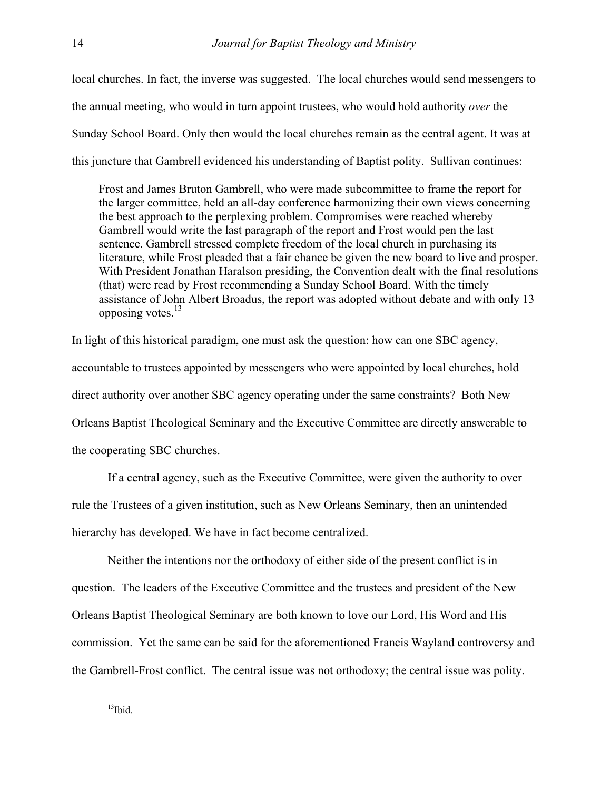local churches. In fact, the inverse was suggested. The local churches would send messengers to the annual meeting, who would in turn appoint trustees, who would hold authority *over* the Sunday School Board. Only then would the local churches remain as the central agent. It was at this juncture that Gambrell evidenced his understanding of Baptist polity. Sullivan continues:

Frost and James Bruton Gambrell, who were made subcommittee to frame the report for the larger committee, held an all-day conference harmonizing their own views concerning the best approach to the perplexing problem. Compromises were reached whereby Gambrell would write the last paragraph of the report and Frost would pen the last sentence. Gambrell stressed complete freedom of the local church in purchasing its literature, while Frost pleaded that a fair chance be given the new board to live and prosper. With President Jonathan Haralson presiding, the Convention dealt with the final resolutions (that) were read by Frost recommending a Sunday School Board. With the timely assistance of John Albert Broadus, the report was adopted without debate and with only 13 opposing votes. $^{13}$  $^{13}$  $^{13}$ 

In light of this historical paradigm, one must ask the question: how can one SBC agency, accountable to trustees appointed by messengers who were appointed by local churches, hold direct authority over another SBC agency operating under the same constraints? Both New Orleans Baptist Theological Seminary and the Executive Committee are directly answerable to the cooperating SBC churches.

 If a central agency, such as the Executive Committee, were given the authority to over rule the Trustees of a given institution, such as New Orleans Seminary, then an unintended hierarchy has developed. We have in fact become centralized.

 Neither the intentions nor the orthodoxy of either side of the present conflict is in question. The leaders of the Executive Committee and the trustees and president of the New Orleans Baptist Theological Seminary are both known to love our Lord, His Word and His commission. Yet the same can be said for the aforementioned Francis Wayland controversy and the Gambrell-Frost conflict. The central issue was not orthodoxy; the central issue was polity.

<span id="page-8-0"></span> $13$ Ibid.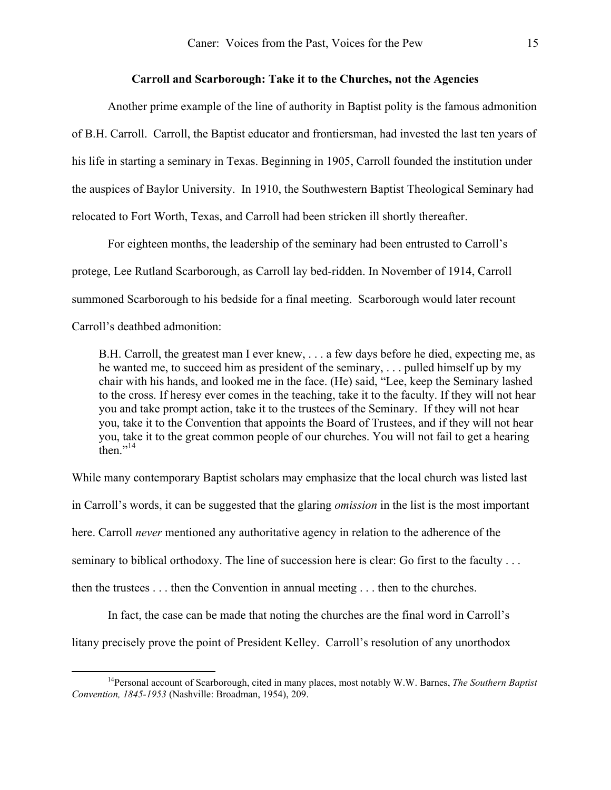#### **Carroll and Scarborough: Take it to the Churches, not the Agencies**

 Another prime example of the line of authority in Baptist polity is the famous admonition of B.H. Carroll. Carroll, the Baptist educator and frontiersman, had invested the last ten years of his life in starting a seminary in Texas. Beginning in 1905, Carroll founded the institution under the auspices of Baylor University. In 1910, the Southwestern Baptist Theological Seminary had relocated to Fort Worth, Texas, and Carroll had been stricken ill shortly thereafter.

 For eighteen months, the leadership of the seminary had been entrusted to Carroll's protege, Lee Rutland Scarborough, as Carroll lay bed-ridden. In November of 1914, Carroll summoned Scarborough to his bedside for a final meeting. Scarborough would later recount Carroll's deathbed admonition:

B.H. Carroll, the greatest man I ever knew, . . . a few days before he died, expecting me, as he wanted me, to succeed him as president of the seminary, . . . pulled himself up by my chair with his hands, and looked me in the face. (He) said, "Lee, keep the Seminary lashed to the cross. If heresy ever comes in the teaching, take it to the faculty. If they will not hear you and take prompt action, take it to the trustees of the Seminary. If they will not hear you, take it to the Convention that appoints the Board of Trustees, and if they will not hear you, take it to the great common people of our churches. You will not fail to get a hearing then $^{114}$  $^{114}$  $^{114}$ 

While many contemporary Baptist scholars may emphasize that the local church was listed last

in Carroll's words, it can be suggested that the glaring *omission* in the list is the most important

here. Carroll *never* mentioned any authoritative agency in relation to the adherence of the

seminary to biblical orthodoxy. The line of succession here is clear: Go first to the faculty . . .

then the trustees . . . then the Convention in annual meeting . . . then to the churches.

 In fact, the case can be made that noting the churches are the final word in Carroll's litany precisely prove the point of President Kelley. Carroll's resolution of any unorthodox

<span id="page-9-0"></span>14Personal account of Scarborough, cited in many places, most notably W.W. Barnes, *The Southern Baptist Convention, 1845-1953* (Nashville: Broadman, 1954), 209.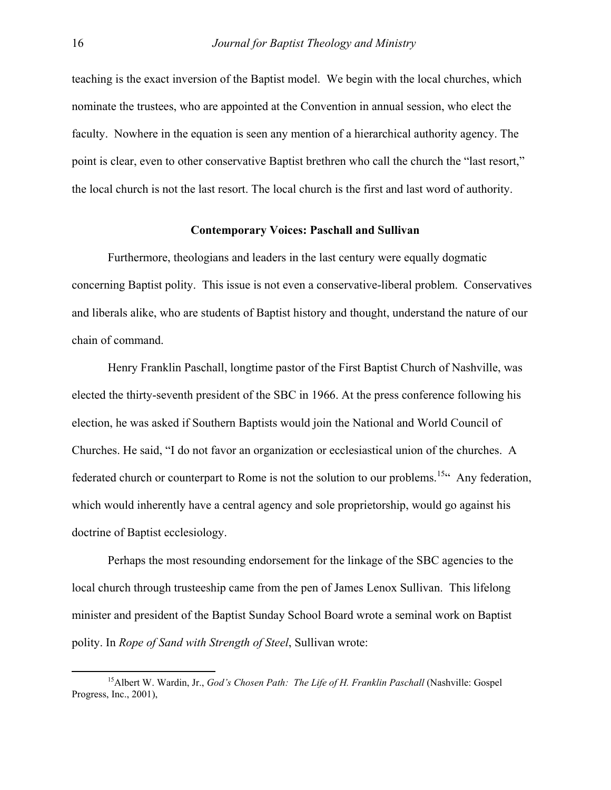teaching is the exact inversion of the Baptist model. We begin with the local churches, which nominate the trustees, who are appointed at the Convention in annual session, who elect the faculty. Nowhere in the equation is seen any mention of a hierarchical authority agency. The point is clear, even to other conservative Baptist brethren who call the church the "last resort," the local church is not the last resort. The local church is the first and last word of authority.

### **Contemporary Voices: Paschall and Sullivan**

 Furthermore, theologians and leaders in the last century were equally dogmatic concerning Baptist polity. This issue is not even a conservative-liberal problem. Conservatives and liberals alike, who are students of Baptist history and thought, understand the nature of our chain of command.

 Henry Franklin Paschall, longtime pastor of the First Baptist Church of Nashville, was elected the thirty-seventh president of the SBC in 1966. At the press conference following his election, he was asked if Southern Baptists would join the National and World Council of Churches. He said, "I do not favor an organization or ecclesiastical union of the churches. A federated church or counterpart to Rome is not the solution to our problems.<sup>15 $\alpha$ </sup> Any federation, which would inherently have a central agency and sole proprietorship, would go against his doctrine of Baptist ecclesiology.

 Perhaps the most resounding endorsement for the linkage of the SBC agencies to the local church through trusteeship came from the pen of James Lenox Sullivan. This lifelong minister and president of the Baptist Sunday School Board wrote a seminal work on Baptist polity. In *Rope of Sand with Strength of Steel*, Sullivan wrote:

<span id="page-10-0"></span><sup>&</sup>lt;sup>15</sup> Albert W. Wardin, Jr., *God's Chosen Path: The Life of H. Franklin Paschall* (Nashville: Gospel Progress, Inc., 2001),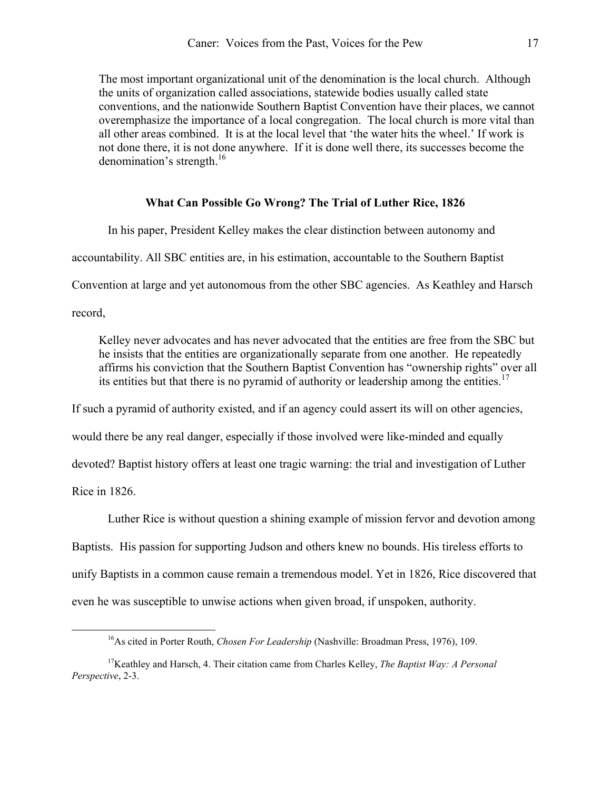The most important organizational unit of the denomination is the local church. Although the units of organization called associations, statewide bodies usually called state conventions, and the nationwide Southern Baptist Convention have their places, we cannot overemphasize the importance of a local congregation. The local church is more vital than all other areas combined. It is at the local level that 'the water hits the wheel.' If work is not done there, it is not done anywhere. If it is done well there, its successes become the denomination's strength. $^{16}$  $^{16}$  $^{16}$ 

### **What Can Possible Go Wrong? The Trial of Luther Rice, 1826**

In his paper, President Kelley makes the clear distinction between autonomy and

accountability. All SBC entities are, in his estimation, accountable to the Southern Baptist

Convention at large and yet autonomous from the other SBC agencies. As Keathley and Harsch

record,

Kelley never advocates and has never advocated that the entities are free from the SBC but he insists that the entities are organizationally separate from one another. He repeatedly affirms his conviction that the Southern Baptist Convention has "ownership rights" over all its entities but that there is no pyramid of authority or leadership among the entities.<sup>[17](#page-11-1)</sup>

If such a pyramid of authority existed, and if an agency could assert its will on other agencies,

would there be any real danger, especially if those involved were like-minded and equally

devoted? Baptist history offers at least one tragic warning: the trial and investigation of Luther

Rice in 1826.

 Luther Rice is without question a shining example of mission fervor and devotion among Baptists. His passion for supporting Judson and others knew no bounds. His tireless efforts to unify Baptists in a common cause remain a tremendous model. Yet in 1826, Rice discovered that even he was susceptible to unwise actions when given broad, if unspoken, authority.

<span id="page-11-1"></span><span id="page-11-0"></span><sup>&</sup>lt;sup>16</sup>As cited in Porter Routh, *Chosen For Leadership* (Nashville: Broadman Press, 1976), 109.

<sup>17</sup>Keathley and Harsch, 4. Their citation came from Charles Kelley, *The Baptist Way: A Personal Perspective*, 2-3.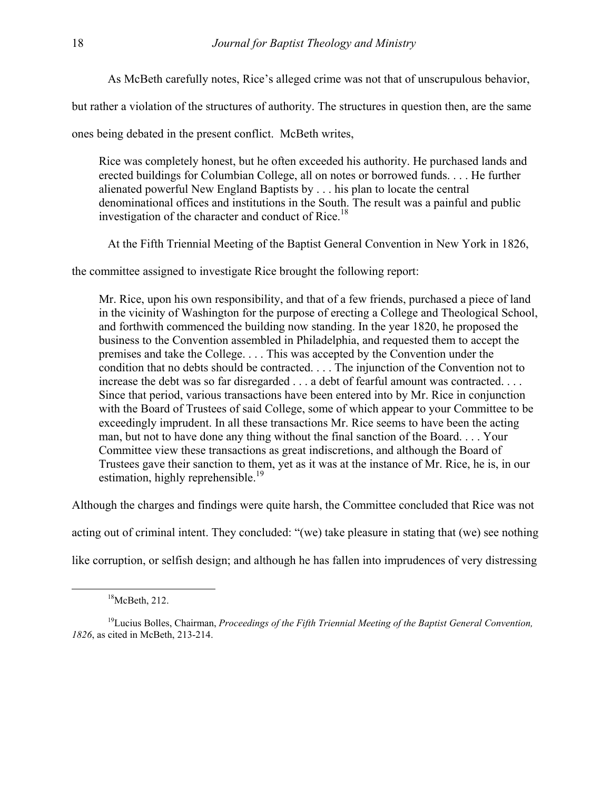As McBeth carefully notes, Rice's alleged crime was not that of unscrupulous behavior,

but rather a violation of the structures of authority. The structures in question then, are the same

ones being debated in the present conflict. McBeth writes,

Rice was completely honest, but he often exceeded his authority. He purchased lands and erected buildings for Columbian College, all on notes or borrowed funds. . . . He further alienated powerful New England Baptists by . . . his plan to locate the central denominational offices and institutions in the South. The result was a painful and public investigation of the character and conduct of Rice.<sup>18</sup>

At the Fifth Triennial Meeting of the Baptist General Convention in New York in 1826,

the committee assigned to investigate Rice brought the following report:

Mr. Rice, upon his own responsibility, and that of a few friends, purchased a piece of land in the vicinity of Washington for the purpose of erecting a College and Theological School, and forthwith commenced the building now standing. In the year 1820, he proposed the business to the Convention assembled in Philadelphia, and requested them to accept the premises and take the College. . . . This was accepted by the Convention under the condition that no debts should be contracted. . . . The injunction of the Convention not to increase the debt was so far disregarded . . . a debt of fearful amount was contracted. . . . Since that period, various transactions have been entered into by Mr. Rice in conjunction with the Board of Trustees of said College, some of which appear to your Committee to be exceedingly imprudent. In all these transactions Mr. Rice seems to have been the acting man, but not to have done any thing without the final sanction of the Board. . . . Your Committee view these transactions as great indiscretions, and although the Board of Trustees gave their sanction to them, yet as it was at the instance of Mr. Rice, he is, in our estimation, highly reprehensible.<sup>[19](#page-12-1)</sup>

Although the charges and findings were quite harsh, the Committee concluded that Rice was not

acting out of criminal intent. They concluded: "(we) take pleasure in stating that (we) see nothing

like corruption, or selfish design; and although he has fallen into imprudences of very distressing

<span id="page-12-1"></span><span id="page-12-0"></span> $18$ McBeth, 212.

<sup>&</sup>lt;sup>19</sup>Lucius Bolles, Chairman, *Proceedings of the Fifth Triennial Meeting of the Baptist General Convention, 1826*, as cited in McBeth, 213-214.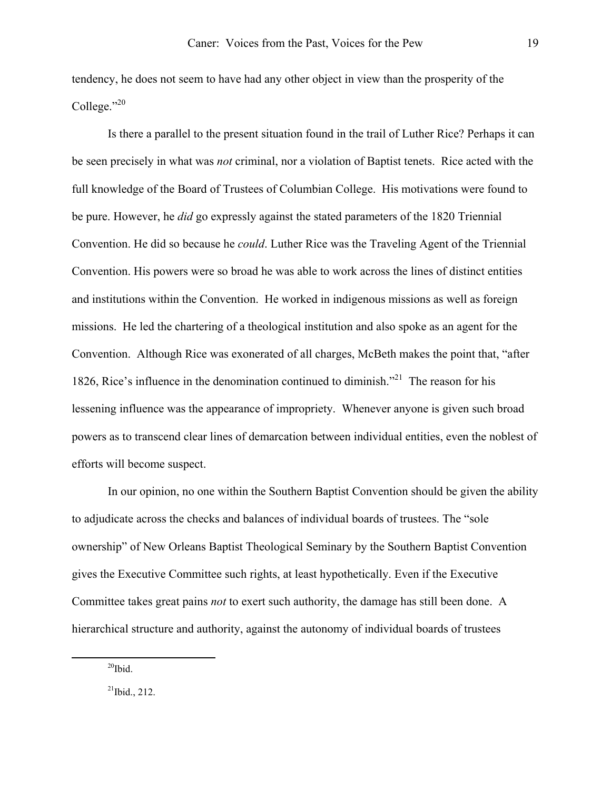tendency, he does not seem to have had any other object in view than the prosperity of the College."[20](#page-13-0)

 Is there a parallel to the present situation found in the trail of Luther Rice? Perhaps it can be seen precisely in what was *not* criminal, nor a violation of Baptist tenets. Rice acted with the full knowledge of the Board of Trustees of Columbian College. His motivations were found to be pure. However, he *did* go expressly against the stated parameters of the 1820 Triennial Convention. He did so because he *could*. Luther Rice was the Traveling Agent of the Triennial Convention. His powers were so broad he was able to work across the lines of distinct entities and institutions within the Convention. He worked in indigenous missions as well as foreign missions. He led the chartering of a theological institution and also spoke as an agent for the Convention. Although Rice was exonerated of all charges, McBeth makes the point that, "after 1826, Rice's influence in the denomination continued to diminish."[21](#page-13-1) The reason for his lessening influence was the appearance of impropriety. Whenever anyone is given such broad powers as to transcend clear lines of demarcation between individual entities, even the noblest of efforts will become suspect.

In our opinion, no one within the Southern Baptist Convention should be given the ability to adjudicate across the checks and balances of individual boards of trustees. The "sole ownership" of New Orleans Baptist Theological Seminary by the Southern Baptist Convention gives the Executive Committee such rights, at least hypothetically. Even if the Executive Committee takes great pains *not* to exert such authority, the damage has still been done. A hierarchical structure and authority, against the autonomy of individual boards of trustees

<span id="page-13-0"></span> $20$ Ibid.

<span id="page-13-1"></span> $^{21}$ Ibid., 212.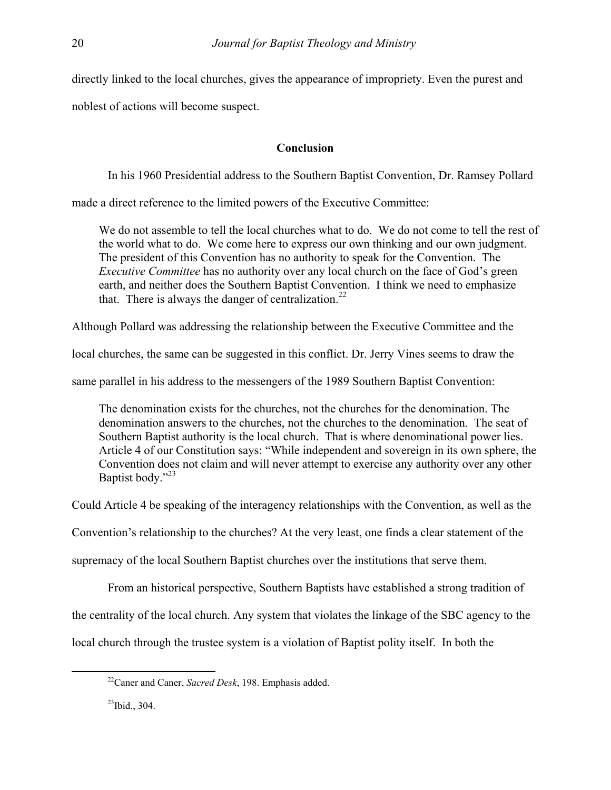directly linked to the local churches, gives the appearance of impropriety. Even the purest and

noblest of actions will become suspect.

# **Conclusion**

In his 1960 Presidential address to the Southern Baptist Convention, Dr. Ramsey Pollard

made a direct reference to the limited powers of the Executive Committee:

We do not assemble to tell the local churches what to do. We do not come to tell the rest of the world what to do. We come here to express our own thinking and our own judgment. The president of this Convention has no authority to speak for the Convention. The *Executive Committee* has no authority over any local church on the face of God's green earth, and neither does the Southern Baptist Convention. I think we need to emphasize that. There is always the danger of centralization.<sup>[22](#page-14-0)</sup>

Although Pollard was addressing the relationship between the Executive Committee and the

local churches, the same can be suggested in this conflict. Dr. Jerry Vines seems to draw the

same parallel in his address to the messengers of the 1989 Southern Baptist Convention:

The denomination exists for the churches, not the churches for the denomination. The denomination answers to the churches, not the churches to the denomination. The seat of Southern Baptist authority is the local church. That is where denominational power lies. Article 4 of our Constitution says: "While independent and sovereign in its own sphere, the Convention does not claim and will never attempt to exercise any authority over any other Baptist body."<sup>23</sup>

Could Article 4 be speaking of the interagency relationships with the Convention, as well as the

Convention's relationship to the churches? At the very least, one finds a clear statement of the

supremacy of the local Southern Baptist churches over the institutions that serve them.

From an historical perspective, Southern Baptists have established a strong tradition of

the centrality of the local church. Any system that violates the linkage of the SBC agency to the

local church through the trustee system is a violation of Baptist polity itself. In both the

<span id="page-14-0"></span>22Caner and Caner, *Sacred Desk*, 198. Emphasis added.

<span id="page-14-1"></span> $^{23}$ Ibid., 304.